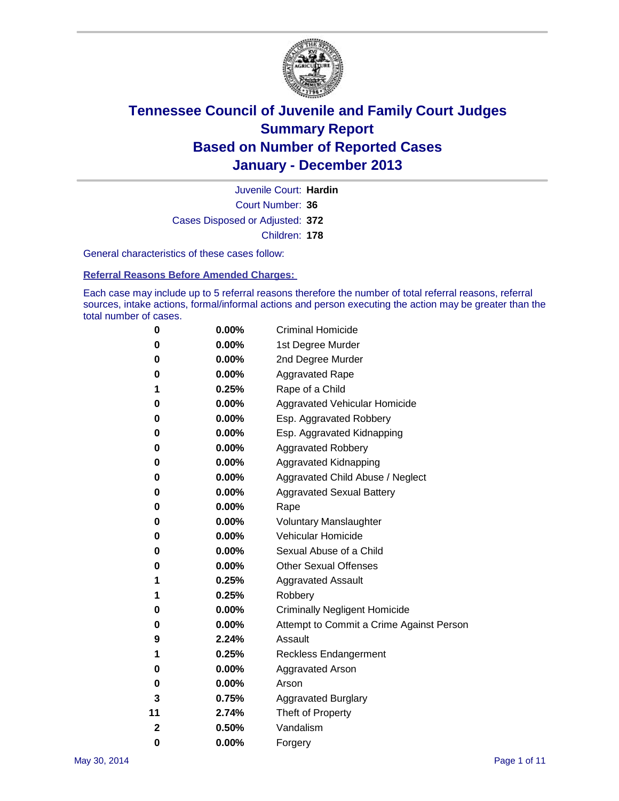

Court Number: **36** Juvenile Court: **Hardin** Cases Disposed or Adjusted: **372** Children: **178**

General characteristics of these cases follow:

**Referral Reasons Before Amended Charges:** 

Each case may include up to 5 referral reasons therefore the number of total referral reasons, referral sources, intake actions, formal/informal actions and person executing the action may be greater than the total number of cases.

| 0  | $0.00\%$ | <b>Criminal Homicide</b>                 |
|----|----------|------------------------------------------|
| 0  | 0.00%    | 1st Degree Murder                        |
| 0  | 0.00%    | 2nd Degree Murder                        |
| 0  | $0.00\%$ | <b>Aggravated Rape</b>                   |
| 1  | 0.25%    | Rape of a Child                          |
| 0  | 0.00%    | <b>Aggravated Vehicular Homicide</b>     |
| 0  | $0.00\%$ | Esp. Aggravated Robbery                  |
| 0  | 0.00%    | Esp. Aggravated Kidnapping               |
| 0  | 0.00%    | <b>Aggravated Robbery</b>                |
| 0  | $0.00\%$ | Aggravated Kidnapping                    |
| 0  | 0.00%    | Aggravated Child Abuse / Neglect         |
| 0  | 0.00%    | <b>Aggravated Sexual Battery</b>         |
| 0  | $0.00\%$ | Rape                                     |
| 0  | 0.00%    | <b>Voluntary Manslaughter</b>            |
| 0  | 0.00%    | Vehicular Homicide                       |
| 0  | $0.00\%$ | Sexual Abuse of a Child                  |
| 0  | 0.00%    | <b>Other Sexual Offenses</b>             |
| 1  | 0.25%    | <b>Aggravated Assault</b>                |
| 1  | 0.25%    | Robbery                                  |
| 0  | 0.00%    | <b>Criminally Negligent Homicide</b>     |
| 0  | 0.00%    | Attempt to Commit a Crime Against Person |
| 9  | 2.24%    | Assault                                  |
| 1  | 0.25%    | <b>Reckless Endangerment</b>             |
| 0  | 0.00%    | <b>Aggravated Arson</b>                  |
| 0  | 0.00%    | Arson                                    |
| 3  | 0.75%    | <b>Aggravated Burglary</b>               |
| 11 | 2.74%    | Theft of Property                        |
| 2  | 0.50%    | Vandalism                                |
| 0  | 0.00%    | Forgery                                  |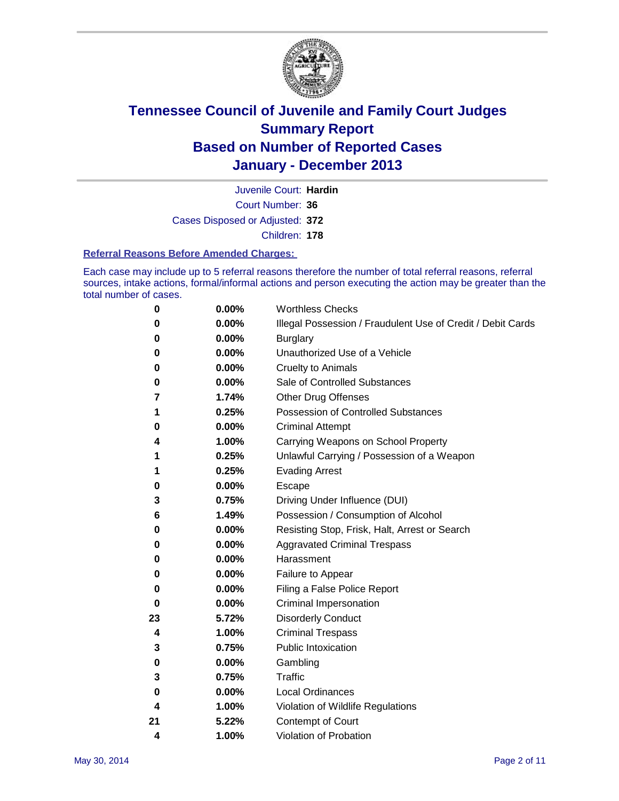

Court Number: **36** Juvenile Court: **Hardin** Cases Disposed or Adjusted: **372** Children: **178**

#### **Referral Reasons Before Amended Charges:**

Each case may include up to 5 referral reasons therefore the number of total referral reasons, referral sources, intake actions, formal/informal actions and person executing the action may be greater than the total number of cases.

| $\boldsymbol{0}$ | 0.00% | <b>Worthless Checks</b>                                     |
|------------------|-------|-------------------------------------------------------------|
| 0                | 0.00% | Illegal Possession / Fraudulent Use of Credit / Debit Cards |
| 0                | 0.00% | <b>Burglary</b>                                             |
| 0                | 0.00% | Unauthorized Use of a Vehicle                               |
| 0                | 0.00% | <b>Cruelty to Animals</b>                                   |
| 0                | 0.00% | Sale of Controlled Substances                               |
| 7                | 1.74% | <b>Other Drug Offenses</b>                                  |
| 1                | 0.25% | Possession of Controlled Substances                         |
| 0                | 0.00% | <b>Criminal Attempt</b>                                     |
| 4                | 1.00% | Carrying Weapons on School Property                         |
| 1                | 0.25% | Unlawful Carrying / Possession of a Weapon                  |
| 1                | 0.25% | <b>Evading Arrest</b>                                       |
| 0                | 0.00% | Escape                                                      |
| 3                | 0.75% | Driving Under Influence (DUI)                               |
| 6                | 1.49% | Possession / Consumption of Alcohol                         |
| 0                | 0.00% | Resisting Stop, Frisk, Halt, Arrest or Search               |
| 0                | 0.00% | <b>Aggravated Criminal Trespass</b>                         |
| 0                | 0.00% | Harassment                                                  |
| 0                | 0.00% | Failure to Appear                                           |
| 0                | 0.00% | Filing a False Police Report                                |
| 0                | 0.00% | Criminal Impersonation                                      |
| 23               | 5.72% | <b>Disorderly Conduct</b>                                   |
| 4                | 1.00% | <b>Criminal Trespass</b>                                    |
| 3                | 0.75% | <b>Public Intoxication</b>                                  |
| 0                | 0.00% | Gambling                                                    |
| 3                | 0.75% | <b>Traffic</b>                                              |
| 0                | 0.00% | <b>Local Ordinances</b>                                     |
| 4                | 1.00% | Violation of Wildlife Regulations                           |
| 21               | 5.22% | Contempt of Court                                           |
| 4                | 1.00% | Violation of Probation                                      |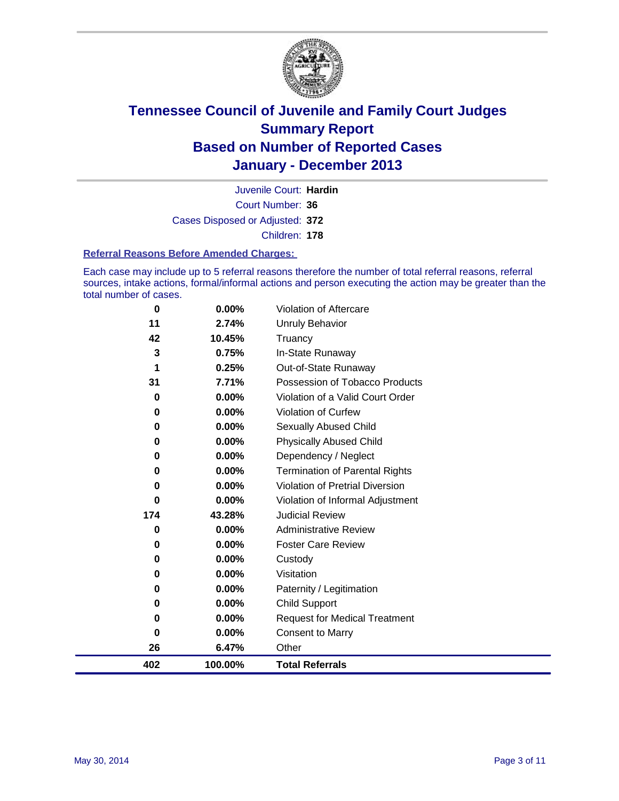

Court Number: **36** Juvenile Court: **Hardin** Cases Disposed or Adjusted: **372** Children: **178**

#### **Referral Reasons Before Amended Charges:**

Each case may include up to 5 referral reasons therefore the number of total referral reasons, referral sources, intake actions, formal/informal actions and person executing the action may be greater than the total number of cases.

| $\bf{0}$ | $0.00\%$ | Violation of Aftercare                 |
|----------|----------|----------------------------------------|
| 11       | 2.74%    | <b>Unruly Behavior</b>                 |
| 42       | 10.45%   | Truancy                                |
| 3        | 0.75%    | In-State Runaway                       |
| 1        | 0.25%    | Out-of-State Runaway                   |
| 31       | 7.71%    | Possession of Tobacco Products         |
| 0        | 0.00%    | Violation of a Valid Court Order       |
| $\bf{0}$ | 0.00%    | <b>Violation of Curfew</b>             |
| 0        | 0.00%    | Sexually Abused Child                  |
| 0        | 0.00%    | <b>Physically Abused Child</b>         |
| $\bf{0}$ | 0.00%    | Dependency / Neglect                   |
| $\bf{0}$ | 0.00%    | <b>Termination of Parental Rights</b>  |
| $\bf{0}$ | 0.00%    | <b>Violation of Pretrial Diversion</b> |
| 0        | 0.00%    | Violation of Informal Adjustment       |
| 174      | 43.28%   | <b>Judicial Review</b>                 |
| 0        | $0.00\%$ | <b>Administrative Review</b>           |
| 0        | 0.00%    | <b>Foster Care Review</b>              |
| $\bf{0}$ | 0.00%    | Custody                                |
| $\bf{0}$ | 0.00%    | Visitation                             |
| 0        | 0.00%    | Paternity / Legitimation               |
| 0        | 0.00%    | <b>Child Support</b>                   |
| 0        | 0.00%    | <b>Request for Medical Treatment</b>   |
| 0        | 0.00%    | <b>Consent to Marry</b>                |
| 26       | 6.47%    | Other                                  |
| 402      | 100.00%  | <b>Total Referrals</b>                 |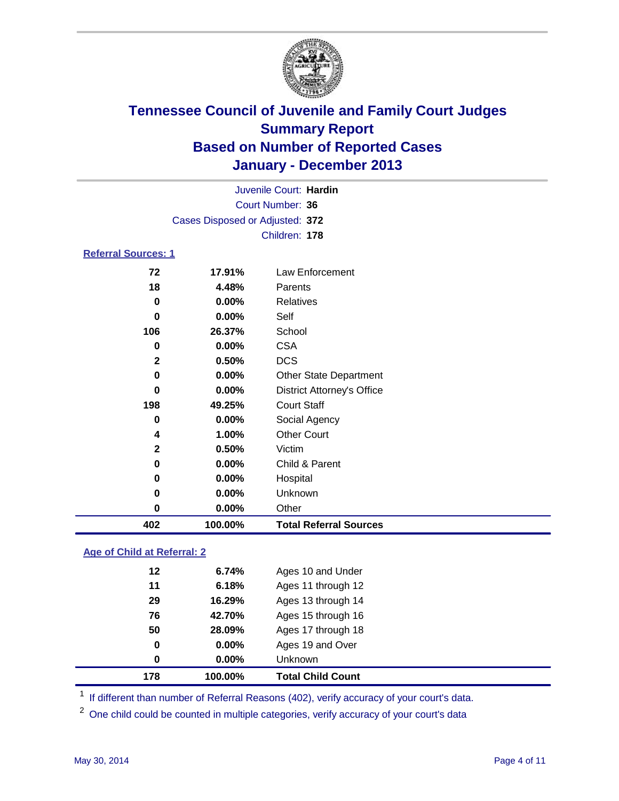

|                            |                                 | Juvenile Court: Hardin            |  |
|----------------------------|---------------------------------|-----------------------------------|--|
|                            |                                 | Court Number: 36                  |  |
|                            | Cases Disposed or Adjusted: 372 |                                   |  |
|                            |                                 | Children: 178                     |  |
| <b>Referral Sources: 1</b> |                                 |                                   |  |
| 72                         | 17.91%                          | <b>Law Enforcement</b>            |  |
| 18                         | 4.48%                           | Parents                           |  |
| $\bf{0}$                   | 0.00%                           | <b>Relatives</b>                  |  |
| 0                          | 0.00%                           | Self                              |  |
| 106                        | 26.37%                          | School                            |  |
| 0                          | 0.00%                           | <b>CSA</b>                        |  |
| $\mathbf 2$                | 0.50%                           | <b>DCS</b>                        |  |
| 0                          | 0.00%                           | <b>Other State Department</b>     |  |
| 0                          | 0.00%                           | <b>District Attorney's Office</b> |  |
| 198                        | 49.25%                          | <b>Court Staff</b>                |  |
| 0                          | 0.00%                           | Social Agency                     |  |
| 4                          | 1.00%                           | <b>Other Court</b>                |  |
| $\mathbf 2$                | 0.50%                           | Victim                            |  |
| 0                          | 0.00%                           | Child & Parent                    |  |
| 0                          | 0.00%                           | Hospital                          |  |
| 0                          | 0.00%                           | Unknown                           |  |
| $\bf{0}$                   | 0.00%                           | Other                             |  |
| 402                        | 100.00%                         | <b>Total Referral Sources</b>     |  |

### **Age of Child at Referral: 2**

| 178 | 100.00%  | <b>Total Child Count</b> |
|-----|----------|--------------------------|
| 0   | 0.00%    | <b>Unknown</b>           |
| 0   | $0.00\%$ | Ages 19 and Over         |
| 50  | 28.09%   | Ages 17 through 18       |
| 76  | 42.70%   | Ages 15 through 16       |
| 29  | 16.29%   | Ages 13 through 14       |
| 11  | 6.18%    | Ages 11 through 12       |
| 12  | 6.74%    | Ages 10 and Under        |
|     |          |                          |

<sup>1</sup> If different than number of Referral Reasons (402), verify accuracy of your court's data.

<sup>2</sup> One child could be counted in multiple categories, verify accuracy of your court's data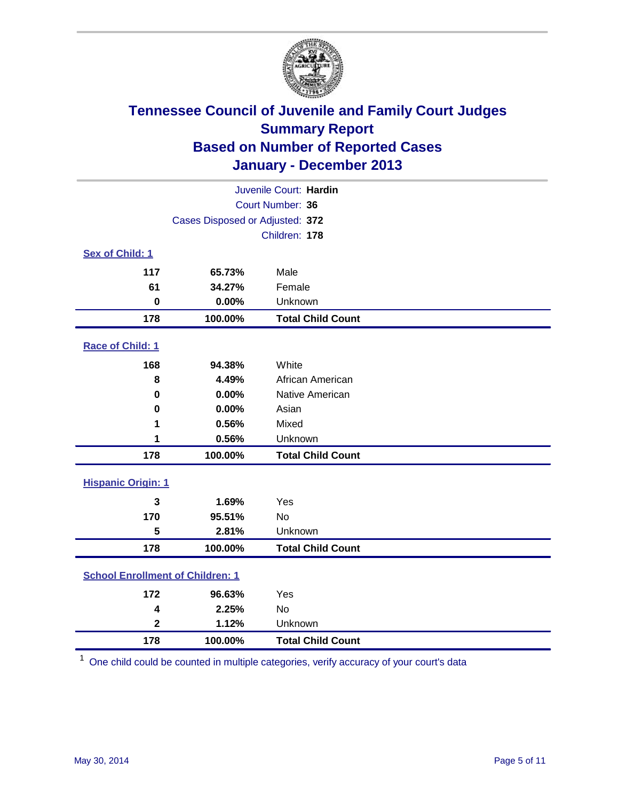

| Juvenile Court: Hardin                  |                                 |                          |  |  |
|-----------------------------------------|---------------------------------|--------------------------|--|--|
| Court Number: 36                        |                                 |                          |  |  |
|                                         | Cases Disposed or Adjusted: 372 |                          |  |  |
|                                         |                                 | Children: 178            |  |  |
| Sex of Child: 1                         |                                 |                          |  |  |
| 117                                     | 65.73%                          | Male                     |  |  |
| 61                                      | 34.27%                          | Female                   |  |  |
| $\mathbf 0$                             | 0.00%                           | Unknown                  |  |  |
| 178                                     | 100.00%                         | <b>Total Child Count</b> |  |  |
| Race of Child: 1                        |                                 |                          |  |  |
| 168                                     | 94.38%                          | White                    |  |  |
| 8                                       | 4.49%                           | African American         |  |  |
| $\bf{0}$                                | 0.00%                           | Native American          |  |  |
| 0                                       | 0.00%                           | Asian                    |  |  |
| 1                                       | 0.56%                           | Mixed                    |  |  |
| 1                                       | 0.56%                           | Unknown                  |  |  |
| 178                                     | 100.00%                         | <b>Total Child Count</b> |  |  |
| <b>Hispanic Origin: 1</b>               |                                 |                          |  |  |
| 3                                       | 1.69%                           | Yes                      |  |  |
| 170                                     | 95.51%                          | <b>No</b>                |  |  |
| 5                                       | 2.81%                           | Unknown                  |  |  |
| 178                                     | 100.00%                         | <b>Total Child Count</b> |  |  |
| <b>School Enrollment of Children: 1</b> |                                 |                          |  |  |
| 172                                     | 96.63%                          | Yes                      |  |  |
| 4                                       | 2.25%                           | No                       |  |  |
| $\mathbf{2}$                            | 1.12%                           | Unknown                  |  |  |
| 178                                     | 100.00%                         | <b>Total Child Count</b> |  |  |

One child could be counted in multiple categories, verify accuracy of your court's data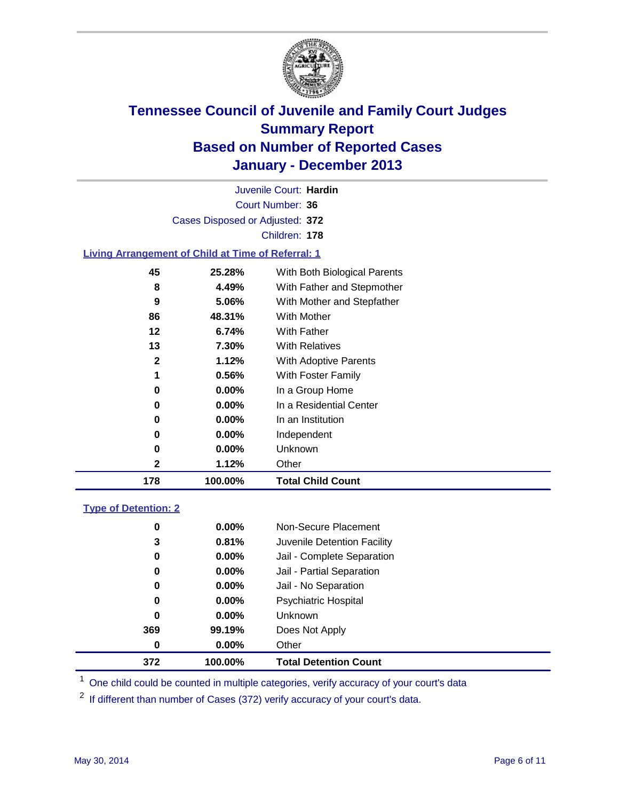

Court Number: **36** Juvenile Court: **Hardin** Cases Disposed or Adjusted: **372** Children: **178**

### **Living Arrangement of Child at Time of Referral: 1**

| 178 | 100.00%  | <b>Total Child Count</b>     |
|-----|----------|------------------------------|
| 2   | 1.12%    | Other                        |
| 0   | $0.00\%$ | Unknown                      |
| 0   | $0.00\%$ | Independent                  |
| 0   | $0.00\%$ | In an Institution            |
| 0   | $0.00\%$ | In a Residential Center      |
| 0   | $0.00\%$ | In a Group Home              |
| 1   | 0.56%    | With Foster Family           |
| 2   | 1.12%    | <b>With Adoptive Parents</b> |
| 13  | 7.30%    | <b>With Relatives</b>        |
| 12  | 6.74%    | With Father                  |
| 86  | 48.31%   | With Mother                  |
| 9   | 5.06%    | With Mother and Stepfather   |
| 8   | 4.49%    | With Father and Stepmother   |
| 45  | 25.28%   | With Both Biological Parents |
|     |          |                              |

#### **Type of Detention: 2**

| 372 | 100.00%  | <b>Total Detention Count</b> |  |
|-----|----------|------------------------------|--|
| 0   | $0.00\%$ | Other                        |  |
| 369 | 99.19%   | Does Not Apply               |  |
| 0   | $0.00\%$ | <b>Unknown</b>               |  |
| 0   | $0.00\%$ | <b>Psychiatric Hospital</b>  |  |
| 0   | 0.00%    | Jail - No Separation         |  |
| 0   | $0.00\%$ | Jail - Partial Separation    |  |
| 0   | 0.00%    | Jail - Complete Separation   |  |
| 3   | 0.81%    | Juvenile Detention Facility  |  |
| 0   | $0.00\%$ | Non-Secure Placement         |  |
|     |          |                              |  |

<sup>1</sup> One child could be counted in multiple categories, verify accuracy of your court's data

If different than number of Cases (372) verify accuracy of your court's data.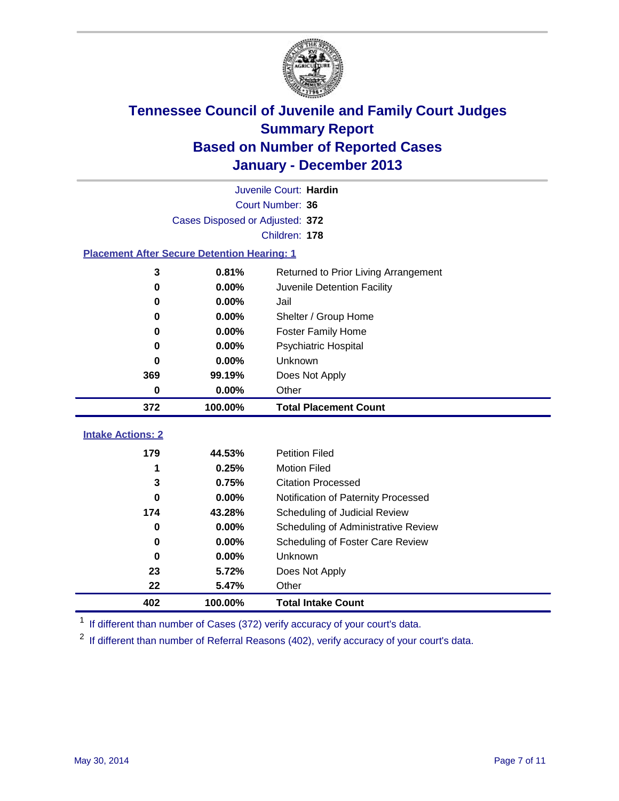

|                                                    |         | Juvenile Court: Hardin               |  |  |
|----------------------------------------------------|---------|--------------------------------------|--|--|
| Court Number: 36                                   |         |                                      |  |  |
| Cases Disposed or Adjusted: 372                    |         |                                      |  |  |
|                                                    |         | Children: 178                        |  |  |
| <b>Placement After Secure Detention Hearing: 1</b> |         |                                      |  |  |
| 3                                                  | 0.81%   | Returned to Prior Living Arrangement |  |  |
| $\bf{0}$                                           | 0.00%   | Juvenile Detention Facility          |  |  |
| 0                                                  | 0.00%   | Jail                                 |  |  |
| 0                                                  | 0.00%   | Shelter / Group Home                 |  |  |
| 0                                                  | 0.00%   | <b>Foster Family Home</b>            |  |  |
| $\bf{0}$                                           | 0.00%   | Psychiatric Hospital                 |  |  |
| 0                                                  | 0.00%   | Unknown                              |  |  |
| 369                                                | 99.19%  | Does Not Apply                       |  |  |
| 0                                                  | 0.00%   | Other                                |  |  |
| 372                                                | 100.00% | <b>Total Placement Count</b>         |  |  |
|                                                    |         |                                      |  |  |
| <b>Intake Actions: 2</b>                           |         |                                      |  |  |
| 179                                                | 44.53%  | <b>Petition Filed</b>                |  |  |
| 1                                                  | 0.25%   | <b>Motion Filed</b>                  |  |  |
| 3                                                  | 0.75%   | <b>Citation Processed</b>            |  |  |
| $\bf{0}$                                           | 0.00%   | Notification of Paternity Processed  |  |  |
| 174                                                | 43.28%  | Scheduling of Judicial Review        |  |  |
| $\bf{0}$                                           | 0.00%   | Scheduling of Administrative Review  |  |  |
| 0                                                  | 0.00%   | Scheduling of Foster Care Review     |  |  |
| $\bf{0}$                                           | 0.00%   | Unknown                              |  |  |
| 23                                                 | 5.72%   | Does Not Apply                       |  |  |
| 22                                                 | 5.47%   | Other                                |  |  |
| 402                                                | 100.00% | <b>Total Intake Count</b>            |  |  |

<sup>1</sup> If different than number of Cases (372) verify accuracy of your court's data.

<sup>2</sup> If different than number of Referral Reasons (402), verify accuracy of your court's data.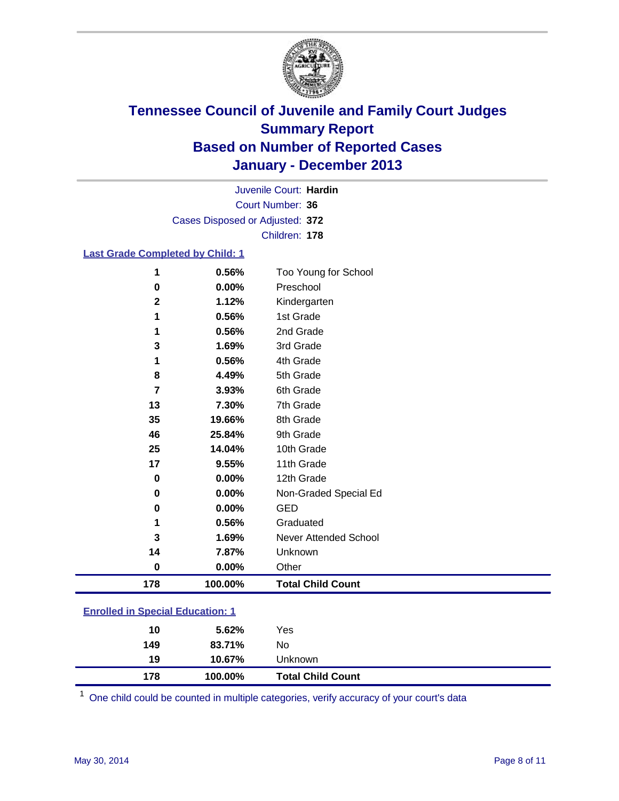

Court Number: **36** Juvenile Court: **Hardin** Cases Disposed or Adjusted: **372** Children: **178**

### **Last Grade Completed by Child: 1**

| 178          | 100.00% | <b>Total Child Count</b> |
|--------------|---------|--------------------------|
| $\bf{0}$     | 0.00%   | Other                    |
| 14           | 7.87%   | Unknown                  |
| 3            | 1.69%   | Never Attended School    |
| 1            | 0.56%   | Graduated                |
| $\bf{0}$     | 0.00%   | <b>GED</b>               |
| $\bf{0}$     | 0.00%   | Non-Graded Special Ed    |
| $\bf{0}$     | 0.00%   | 12th Grade               |
| 17           | 9.55%   | 11th Grade               |
| 25           | 14.04%  | 10th Grade               |
| 46           | 25.84%  | 9th Grade                |
| 35           | 19.66%  | 8th Grade                |
| 13           | 7.30%   | 7th Grade                |
| 7            | 3.93%   | 6th Grade                |
| 8            | 4.49%   | 5th Grade                |
| 1            | 0.56%   | 4th Grade                |
| 3            | 1.69%   | 3rd Grade                |
| 1            | 0.56%   | 2nd Grade                |
| 1            | 0.56%   | 1st Grade                |
| $\mathbf{2}$ | 1.12%   | Kindergarten             |
| $\bf{0}$     | 0.00%   | Preschool                |
| 1            | 0.56%   | Too Young for School     |

| <b>Enrolled in Special Education: 1</b> |      |     |  |  |
|-----------------------------------------|------|-----|--|--|
|                                         | 562% | Yes |  |  |

| 178 | 100.00% | <b>Total Child Count</b> |  |
|-----|---------|--------------------------|--|
| 19  | 10.67%  | Unknown                  |  |
| 149 | 83.71%  | No                       |  |
| 10  | 5.62%   | Yes                      |  |

One child could be counted in multiple categories, verify accuracy of your court's data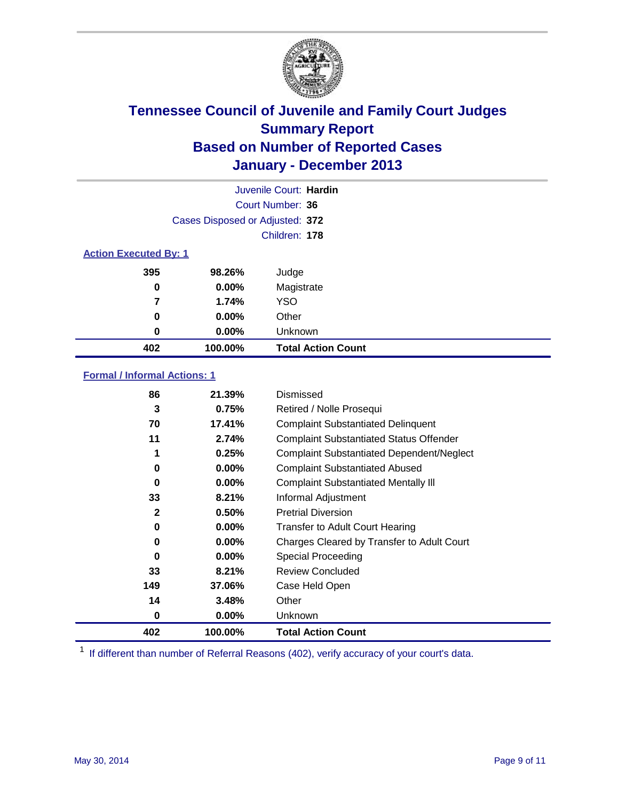

|                              |                                 | Juvenile Court: Hardin    |
|------------------------------|---------------------------------|---------------------------|
|                              |                                 | Court Number: 36          |
|                              | Cases Disposed or Adjusted: 372 |                           |
|                              |                                 | Children: 178             |
| <b>Action Executed By: 1</b> |                                 |                           |
| 395                          | 98.26%                          | Judge                     |
| 0                            | $0.00\%$                        | Magistrate                |
| 7                            | 1.74%                           | <b>YSO</b>                |
| 0                            | $0.00\%$                        | Other                     |
| 0                            | $0.00\%$                        | Unknown                   |
| 402                          | 100.00%                         | <b>Total Action Count</b> |

### **Formal / Informal Actions: 1**

| 86           | 21.39%   | Dismissed                                        |
|--------------|----------|--------------------------------------------------|
| 3            | 0.75%    | Retired / Nolle Prosequi                         |
| 70           | 17.41%   | <b>Complaint Substantiated Delinquent</b>        |
| 11           | 2.74%    | <b>Complaint Substantiated Status Offender</b>   |
| 1            | 0.25%    | <b>Complaint Substantiated Dependent/Neglect</b> |
| 0            | $0.00\%$ | <b>Complaint Substantiated Abused</b>            |
| 0            | $0.00\%$ | <b>Complaint Substantiated Mentally III</b>      |
| 33           | 8.21%    | Informal Adjustment                              |
| $\mathbf{2}$ | 0.50%    | <b>Pretrial Diversion</b>                        |
| 0            | $0.00\%$ | <b>Transfer to Adult Court Hearing</b>           |
| 0            | $0.00\%$ | Charges Cleared by Transfer to Adult Court       |
| $\bf{0}$     | $0.00\%$ | Special Proceeding                               |
| 33           | 8.21%    | <b>Review Concluded</b>                          |
| 149          | 37.06%   | Case Held Open                                   |
| 14           | 3.48%    | Other                                            |
| 0            | $0.00\%$ | <b>Unknown</b>                                   |
| 402          | 100.00%  | <b>Total Action Count</b>                        |

<sup>1</sup> If different than number of Referral Reasons (402), verify accuracy of your court's data.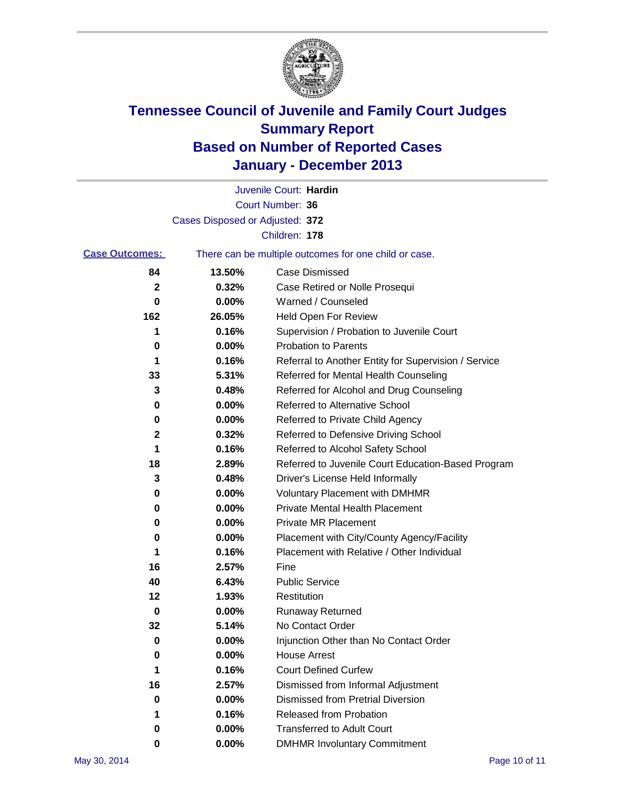

|                       |                                 | Juvenile Court: Hardin                                |
|-----------------------|---------------------------------|-------------------------------------------------------|
|                       |                                 | Court Number: 36                                      |
|                       | Cases Disposed or Adjusted: 372 |                                                       |
|                       |                                 | Children: 178                                         |
| <b>Case Outcomes:</b> |                                 | There can be multiple outcomes for one child or case. |
| 84                    | 13.50%                          | Case Dismissed                                        |
| 2                     | 0.32%                           | Case Retired or Nolle Prosequi                        |
| 0                     | 0.00%                           | Warned / Counseled                                    |
| 162                   | 26.05%                          | Held Open For Review                                  |
| 1                     | 0.16%                           | Supervision / Probation to Juvenile Court             |
| 0                     | 0.00%                           | <b>Probation to Parents</b>                           |
| 1                     | 0.16%                           | Referral to Another Entity for Supervision / Service  |
| 33                    | 5.31%                           | Referred for Mental Health Counseling                 |
| 3                     | 0.48%                           | Referred for Alcohol and Drug Counseling              |
| 0                     | 0.00%                           | Referred to Alternative School                        |
| 0                     | 0.00%                           | Referred to Private Child Agency                      |
| 2                     | 0.32%                           | Referred to Defensive Driving School                  |
| 1                     | 0.16%                           | Referred to Alcohol Safety School                     |
| 18                    | 2.89%                           | Referred to Juvenile Court Education-Based Program    |
| 3                     | 0.48%                           | Driver's License Held Informally                      |
| 0                     | 0.00%                           | <b>Voluntary Placement with DMHMR</b>                 |
| 0                     | 0.00%                           | <b>Private Mental Health Placement</b>                |
| 0                     | 0.00%                           | <b>Private MR Placement</b>                           |
| 0                     | 0.00%                           | Placement with City/County Agency/Facility            |
| 1                     | 0.16%                           | Placement with Relative / Other Individual            |
| 16                    | 2.57%                           | Fine                                                  |
| 40                    | 6.43%                           | <b>Public Service</b>                                 |
| 12                    | 1.93%                           | Restitution                                           |
| 0                     | 0.00%                           | <b>Runaway Returned</b>                               |
| 32                    | 5.14%                           | No Contact Order                                      |
| 0                     | 0.00%                           | Injunction Other than No Contact Order                |
| 0                     | 0.00%                           | <b>House Arrest</b>                                   |
| 1                     | 0.16%                           | <b>Court Defined Curfew</b>                           |
| 16                    | 2.57%                           | Dismissed from Informal Adjustment                    |
| 0                     | 0.00%                           | Dismissed from Pretrial Diversion                     |
| 1                     | 0.16%                           | Released from Probation                               |
| 0                     | 0.00%                           | <b>Transferred to Adult Court</b>                     |
| 0                     | $0.00\%$                        | <b>DMHMR Involuntary Commitment</b>                   |